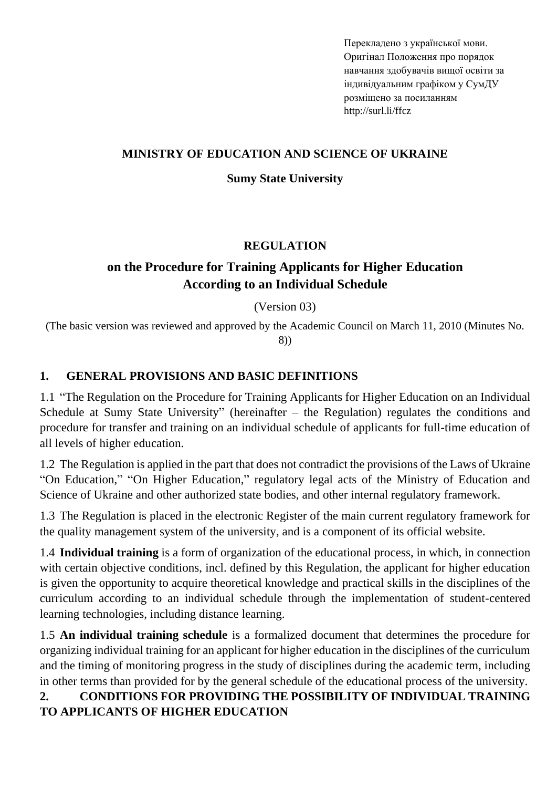Перекладено з української мови. Оригінал Положення про порядок навчання здобувачів вищої освіти за індивідуальним графіком у СумДУ розміщено за посиланням http://surl.li/ffcz

### **MINISTRY OF EDUCATION AND SCIENCE OF UKRAINE**

### **Sumy State University**

### **REGULATION**

## **on the Procedure for Training Applicants for Higher Education According to an Individual Schedule**

### (Version 03)

(The basic version was reviewed and approved by the Academic Council on March 11, 2010 (Minutes No. 8))

### **1. GENERAL PROVISIONS AND BASIC DEFINITIONS**

1.1 "The Regulation on the Procedure for Training Applicants for Higher Education on an Individual Schedule at Sumy State University" (hereinafter – the Regulation) regulates the conditions and procedure for transfer and training on an individual schedule of applicants for full-time education of all levels of higher education.

1.2 The Regulation is applied in the part that does not contradict the provisions of the Laws of Ukraine "On Education," "On Higher Education," regulatory legal acts of the Ministry of Education and Science of Ukraine and other authorized state bodies, and other internal regulatory framework.

1.3 The Regulation is placed in the electronic Register of the main current regulatory framework for the quality management system of the university, and is a component of its official website.

1.4 **Individual training** is a form of organization of the educational process, in which, in connection with certain objective conditions, incl. defined by this Regulation, the applicant for higher education is given the opportunity to acquire theoretical knowledge and practical skills in the disciplines of the curriculum according to an individual schedule through the implementation of student-centered learning technologies, including distance learning.

1.5 **An individual training schedule** is a formalized document that determines the procedure for organizing individual training for an applicant for higher education in the disciplines of the curriculum and the timing of monitoring progress in the study of disciplines during the academic term, including in other terms than provided for by the general schedule of the educational process of the university.

## **2. CONDITIONS FOR PROVIDING THE POSSIBILITY OF INDIVIDUAL TRAINING TO APPLICANTS OF HIGHER EDUCATION**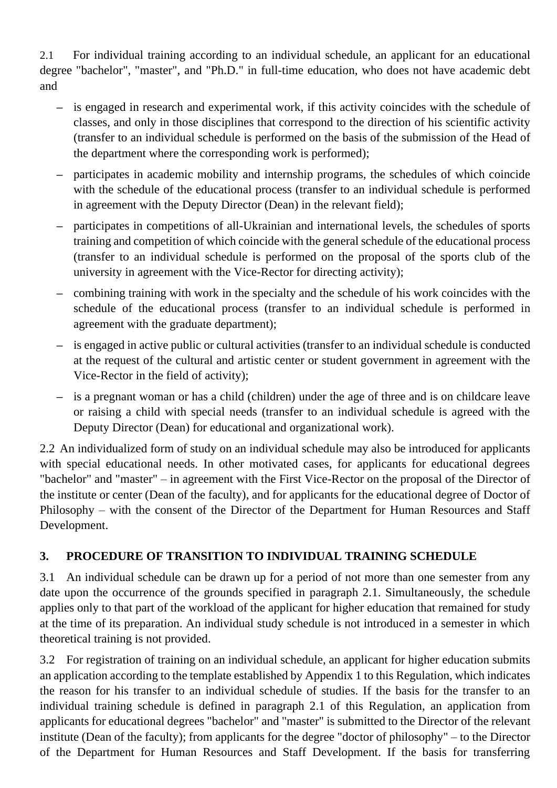2.1 For individual training according to an individual schedule, an applicant for an educational degree "bachelor", "master", and "Ph.D." in full-time education, who does not have academic debt and

- **–** is engaged in research and experimental work, if this activity coincides with the schedule of classes, and only in those disciplines that correspond to the direction of his scientific activity (transfer to an individual schedule is performed on the basis of the submission of the Head of the department where the corresponding work is performed);
- **–** participates in academic mobility and internship programs, the schedules of which coincide with the schedule of the educational process (transfer to an individual schedule is performed in agreement with the Deputy Director (Dean) in the relevant field);
- **–** participates in competitions of all-Ukrainian and international levels, the schedules of sports training and competition of which coincide with the general schedule of the educational process (transfer to an individual schedule is performed on the proposal of the sports club of the university in agreement with the Vice-Rector for directing activity);
- **–** combining training with work in the specialty and the schedule of his work coincides with the schedule of the educational process (transfer to an individual schedule is performed in agreement with the graduate department);
- **–** is engaged in active public or cultural activities (transfer to an individual schedule is conducted at the request of the cultural and artistic center or student government in agreement with the Vice-Rector in the field of activity);
- **–** is a pregnant woman or has a child (children) under the age of three and is on childcare leave or raising a child with special needs (transfer to an individual schedule is agreed with the Deputy Director (Dean) for educational and organizational work).

2.2 An individualized form of study on an individual schedule may also be introduced for applicants with special educational needs. In other motivated cases, for applicants for educational degrees "bachelor" and "master" – in agreement with the First Vice-Rector on the proposal of the Director of the institute or center (Dean of the faculty), and for applicants for the educational degree of Doctor of Philosophy – with the consent of the Director of the Department for Human Resources and Staff Development.

## **3. PROCEDURE OF TRANSITION TO INDIVIDUAL TRAINING SCHEDULE**

3.1 An individual schedule can be drawn up for a period of not more than one semester from any date upon the occurrence of the grounds specified in paragraph 2.1. Simultaneously, the schedule applies only to that part of the workload of the applicant for higher education that remained for study at the time of its preparation. An individual study schedule is not introduced in a semester in which theoretical training is not provided.

3.2 For registration of training on an individual schedule, an applicant for higher education submits an application according to the template established by Appendix 1 to this Regulation, which indicates the reason for his transfer to an individual schedule of studies. If the basis for the transfer to an individual training schedule is defined in paragraph 2.1 of this Regulation, an application from applicants for educational degrees "bachelor" and "master" is submitted to the Director of the relevant institute (Dean of the faculty); from applicants for the degree "doctor of philosophy" – to the Director of the Department for Human Resources and Staff Development. If the basis for transferring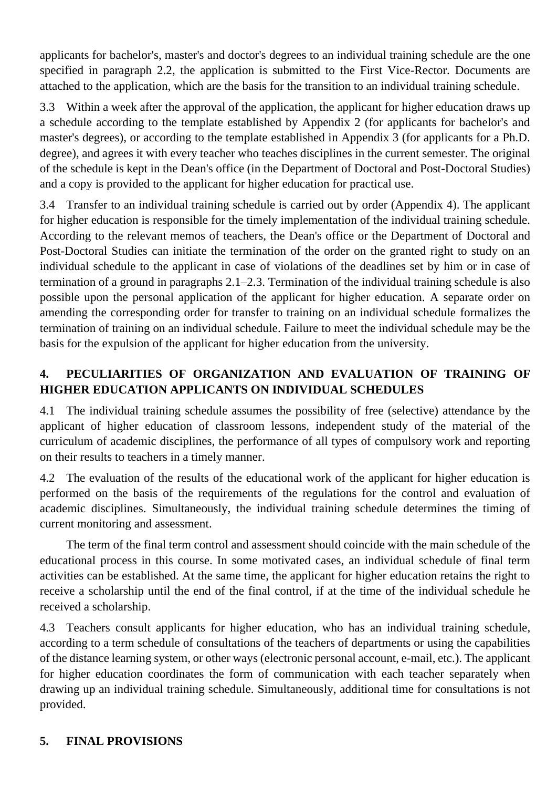applicants for bachelor's, master's and doctor's degrees to an individual training schedule are the one specified in paragraph 2.2, the application is submitted to the First Vice-Rector. Documents are attached to the application, which are the basis for the transition to an individual training schedule.

3.3 Within a week after the approval of the application, the applicant for higher education draws up a schedule according to the template established by Appendix 2 (for applicants for bachelor's and master's degrees), or according to the template established in Appendix 3 (for applicants for a Ph.D. degree), and agrees it with every teacher who teaches disciplines in the current semester. The original of the schedule is kept in the Dean's office (in the Department of Doctoral and Post-Doctoral Studies) and a copy is provided to the applicant for higher education for practical use.

3.4 Transfer to an individual training schedule is carried out by order (Appendix 4). The applicant for higher education is responsible for the timely implementation of the individual training schedule. According to the relevant memos of teachers, the Dean's office or the Department of Doctoral and Post-Doctoral Studies can initiate the termination of the order on the granted right to study on an individual schedule to the applicant in case of violations of the deadlines set by him or in case of termination of a ground in paragraphs 2.1–2.3. Termination of the individual training schedule is also possible upon the personal application of the applicant for higher education. A separate order on amending the corresponding order for transfer to training on an individual schedule formalizes the termination of training on an individual schedule. Failure to meet the individual schedule may be the basis for the expulsion of the applicant for higher education from the university.

# **4. PECULIARITIES OF ORGANIZATION AND EVALUATION OF TRAINING OF HIGHER EDUCATION APPLICANTS ON INDIVIDUAL SCHEDULES**

4.1 The individual training schedule assumes the possibility of free (selective) attendance by the applicant of higher education of classroom lessons, independent study of the material of the curriculum of academic disciplines, the performance of all types of compulsory work and reporting on their results to teachers in a timely manner.

4.2 The evaluation of the results of the educational work of the applicant for higher education is performed on the basis of the requirements of the regulations for the control and evaluation of academic disciplines. Simultaneously, the individual training schedule determines the timing of current monitoring and assessment.

The term of the final term control and assessment should coincide with the main schedule of the educational process in this course. In some motivated cases, an individual schedule of final term activities can be established. At the same time, the applicant for higher education retains the right to receive a scholarship until the end of the final control, if at the time of the individual schedule he received a scholarship.

4.3 Teachers consult applicants for higher education, who has an individual training schedule, according to a term schedule of consultations of the teachers of departments or using the capabilities of the distance learning system, or other ways(electronic personal account, e-mail, etc.). The applicant for higher education coordinates the form of communication with each teacher separately when drawing up an individual training schedule. Simultaneously, additional time for consultations is not provided.

# **5. FINAL PROVISIONS**